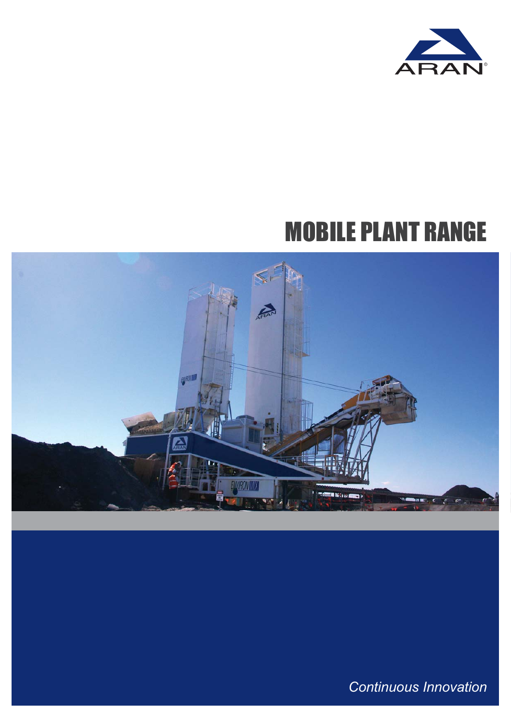

# MOBILE PLANT RANGE



*Continuous Innovation*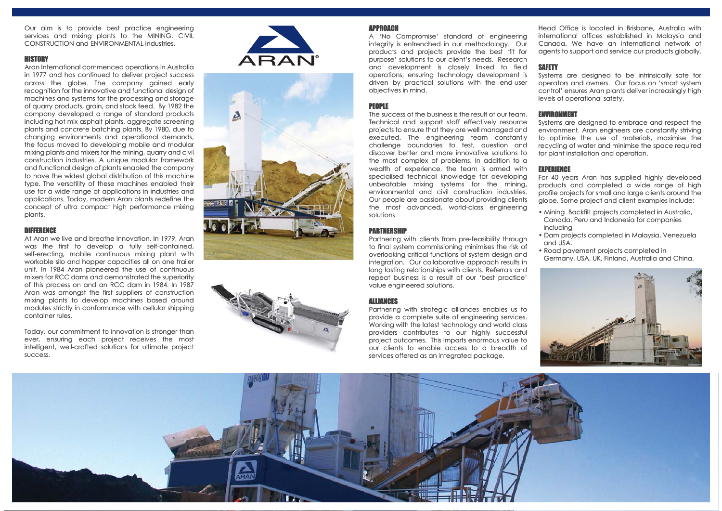Our aim is to provide best practice engineering services and mixing plants to the MINING, CIVIL CONSTRUCTION and ENVIRONMENTAL industries.

### **HISTORY**

Aran International commenced operations in Australia in 1977 and has continued to deliver project success across the globe. The company gained early recognition for the innovative and functional design of machines and systems for the processing and storage of quarry products, grain, and stock feed. By 1982 the company developed a range of standard products including hot mix asphalt plants, aggregate screening plants and concrete batching plants. By 1980, due to changing environments and operational demands, the focus moved to developing mobile and modular mixing plants and mixers for the mining, quarry and civil construction industries. A unique modular framework and functional design of plants enabled the company to have the widest global distribution of this machine type. The versatility of these machines enabled their use for a wide range of applications in industries and applications. Today, modern Aran plants redefine the concept of ultra compact high performance mixing plants.

## DIFFERENCE

At Aran we live and breathe Innovation. In 1979, Aran was the first to develop a fully self-contained, self-erecting, mobile continuous mixing plant with workable silo and hopper capacities all on one trailer unit. In 1984 Aran pioneered the use of continuous mixers for RCC dams and demonstrated the superiority of this process on and an RCC dam in 1984. In 1987 Aran was amongst the first suppliers of construction mixing plants to develop machines based around modules strictly in conformance with cellular shipping container rules.

Today, our commitment to innovation is stronger than ever, ensuring each project receives the most intelligent, well-crafted solutions for ultimate project success.







### APPROACH

A 'No Compromise' standard of engineering integrity is entrenched in our methodology. Our products and projects provide the best 'fit for purpose' solutions to our client's needs. Research and development is closely linked to field operations, ensuring technology development is driven by practical solutions with the end-user objectives in mind.

# PEOPLE

The success of the business is the result of our team. Technical and support staff effectively resource projects to ensure that they are well managed and executed. The engineering team constantly challenge boundaries to test, question and discover better and more innovative solutions to the most complex of problems. In addition to a wealth of experience, the team is armed with specialised technical knowledge for developing unbeatable mixing systems for the mining, environmental and civil construction industries. Our people are passionate about providing clients the most advanced, world-class engineering solutions.

## PARTNERSHIP

Partnering with clients from pre-feasibility through to final system commissioning minimises the risk of overlooking critical functions of system design and integration. Our collaborative approach results in long lasting relationships with clients. Referrals and repeat business is a result of our 'best practice' value engineered solutions.

## ALLIANCES

Partnering with strategic alliances enables us to provide a complete suite of engineering services. Working with the latest technology and world class providers contributes to our highly successful project outcomes. This imparts enormous value to our clients to enable access to a breadth of services offered as an integrated package.

Head Office is located in Brisbane, Australia with international offices established in Malaysia and Canada. We have an international network of agents to support and service our products globally.

## SAFETY

Systems are designed to be intrinsically safe for operators and owners. Our focus on 'smart system control' ensures Aran plants deliver increasingly high levels of operational safety.

## ENVIRONMENT

Systems are designed to embrace and respect the environment. Aran engineers are constantly striving to optimise the use of materials, maximise the recycling of water and minimise the space required for plant installation and operation.

#### EXPERIENCE

For 40 years Aran has supplied highly developed products and completed a wide range of high profile projects for small and large clients around the globe. Some project and client examples include:

- Mining Backfill projects completed in Australia, Canada, Peru and Indonesia for companies including
- Dam projects completed in Malaysia, Venezuela and USA.
- Road pavement projects completed in
- Germany, USA, UK, Finland, Australia and China.



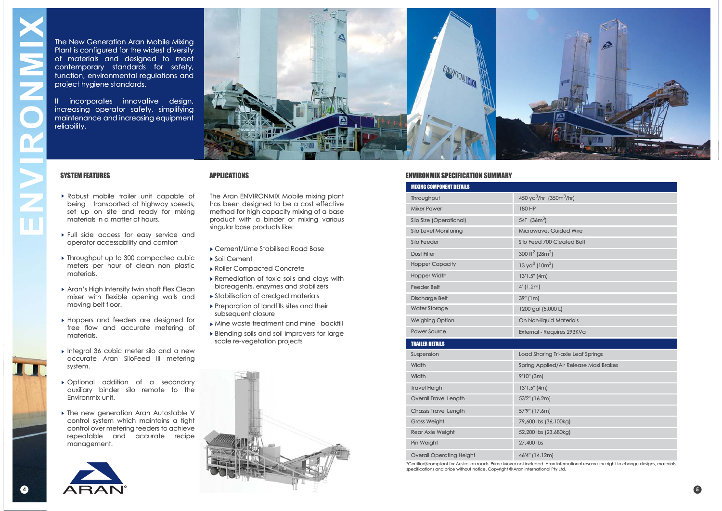The New Generation Aran Mobile Mixing Plant is configured for the widest diversity of materials and designed to meet contemporary standards for safety, function, environmental regulations and project hygiene standards. The New Generation Aran Mobile Mixing<br>
Plant is configured for the widest diversity<br>
of motericls and designed to meet<br>
confemporary standards for safety,<br>
project hygien standards.<br>
The incorporates innovative design,<br>
in

It incorporates innovative design, increasing operator safety, simplifying maintenance and increasing equipment reliability.



# SYSTEM FEATURES

- Robust mobile trailer unit capable of being transported at highway speeds, set up on site and ready for mixing materials in a matter of hours.
- Full side access for easy service and operator accessability and comfort
- ▶ Throughput up to 300 compacted cubic meters per hour of clean non plastic materials.
- Aran's High Intensity twin shaft FlexiClean mixer with flexible opening walls and moving belt floor.
- Hoppers and feeders are designed for free flow and accurate metering of materials.
- ▶ Integral 36 cubic meter silo and a new accurate Aran SiloFeed III metering system.
- Optional addition of a secondary auxiliary binder silo remote to the Environmix unit.
- ▶ The new generation Aran Autostable V control system which maintains a tight control over metering feeders to achieve repeatable and accurate recipe management.



APPLICATIONS

The Aran ENVIRONMIX Mobile mixing plant has been designed to be a cost effective method for high capacity mixing of a base product with a binder or mixing various singular base products like:

- Cement/Lime Stabilised Road Base
- Soil Cement
- Roller Compacted Concrete
- Remediation of toxic soils and clays with bioreagents, enzymes and stabilizers
- Stabilisation of dredged materials
- Preparation of landfills sites and their subsequent closure
- Mine waste treatment and mine backfill
- Blending soils and soil improvers for large scale re-vegetation projects



#### ENVIRONMIX SPECIFICATION SUMMARY

| <b>MIXING COMPONENT DETAILS</b> |                                                 |  |  |  |  |  |
|---------------------------------|-------------------------------------------------|--|--|--|--|--|
| Throughput                      | 450 yd <sup>3</sup> /hr (350m <sup>3</sup> /hr) |  |  |  |  |  |
| <b>Mixer Power</b>              | 180 HP                                          |  |  |  |  |  |
| Silo Size (Operational)         | 54T $(36m^3)$                                   |  |  |  |  |  |
| Silo Level Monitoring           | Microwave, Guided Wire                          |  |  |  |  |  |
| Silo Feeder                     | Silo Feed 700 Cleated Belt                      |  |  |  |  |  |
| <b>Dust Filter</b>              | 300 ft <sup>2</sup> (28m <sup>2</sup> )         |  |  |  |  |  |
| <b>Hopper Capacity</b>          | 13 yd <sup>3</sup> (10 $m3$ )                   |  |  |  |  |  |
| <b>Hopper Width</b>             | 13'1.5" (4m)                                    |  |  |  |  |  |
| <b>Feeder Belt</b>              | $4'$ (1.2m)                                     |  |  |  |  |  |
| <b>Discharge Belt</b>           | 39" (1m)                                        |  |  |  |  |  |
| <b>Water Storage</b>            | 1200 gal (5,000 L)                              |  |  |  |  |  |
| <b>Weighing Option</b>          | On Non-liquid Materials                         |  |  |  |  |  |
| Power Source                    | External - Requires 293KVa                      |  |  |  |  |  |
| <b>TRAILER DETAILS</b>          |                                                 |  |  |  |  |  |
| Suspension                      | Load Sharing Tri-axle Leaf Springs              |  |  |  |  |  |
| Width                           | Spring Applied/Air Release Maxi Brakes          |  |  |  |  |  |
| Width                           | 9'10" (3m)                                      |  |  |  |  |  |
| <b>Travel Height</b>            | 13'1.5" (4m)                                    |  |  |  |  |  |
| <b>Overall Travel Length</b>    | 53'2" (16.2m)                                   |  |  |  |  |  |
| <b>Chassis Travel Length</b>    | 57'9" (17.6m)                                   |  |  |  |  |  |
| <b>Gross Weight</b>             | 79,600 lbs (36,100kg)                           |  |  |  |  |  |
| <b>Rear Axle Weight</b>         | 52,200 lbs (23,680kg)                           |  |  |  |  |  |
| Pin Weight                      | 27,400 lbs                                      |  |  |  |  |  |
| <b>Overall Operating Height</b> | 46'4" (14.12m)                                  |  |  |  |  |  |

\*Certified/compliant for Australian roads. Prime Mover not included. Aran International reserve the right to change designs, materials, specifications and price without notice. Copyright © Aran International Pty Ltd.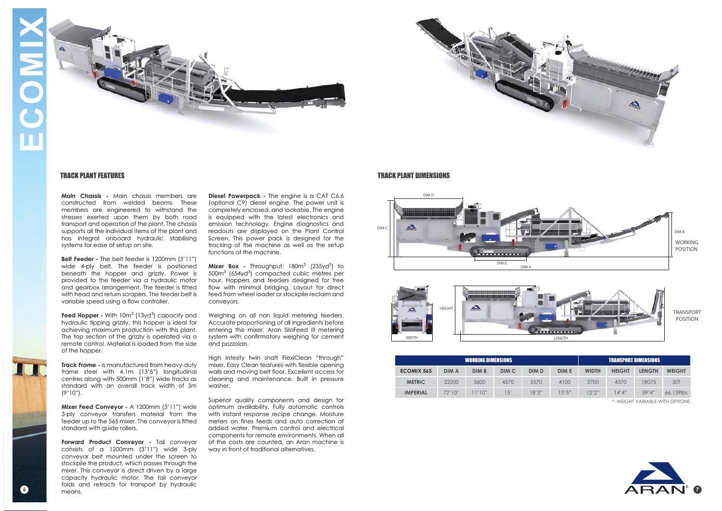



## TRACK PLANT FEATURES

**Main Chassis -** Main chassis members are constructed from welded beams. These members are engineered to withstand the stresses exerted upon them by both road transport and operation of the plant. The chassis supports all the individual items of the plant and has integral onboard hydraulic stabilising systems for ease of setup on site.

**Belt Feeder -** The belt feeder is 1200mm (3'11") wide 4-ply belt. The feeder is positioned beneath the hopper and grizzly. Power is provided to the feeder via a hydraulic motor and gearbox arrangement. The feeder is fitted with head and return scrapers. The feeder belt is variable speed using a flow controller.

**Feed Hopper -** With 10m<sup>3</sup> (13yd<sup>3</sup>) capacity and hydraulic tipping grizzly, this hopper is ideal for achieving maximum production with this plant. The top section of the grizzly is operated via a remote control. Material is loaded from the side of the hopper.

**Track Frame -** is manufactured from heavy-duty frame steel with 4.1m (13'5") longitudinal centres along with 500mm (1'8") wide tracks as standard with an overall track width of 3m (9'10").

**Mixer Feed Conveyor -** A 1200mm (3'11") wide 3-ply conveyor transfers material from the feeder up to the 565 mixer. The conveyor is fitted standard with guide rollers.

 $\Delta$   $\Box$   $\Delta$   $\Box$   $\Delta$   $\Box$   $\Gamma$   $\Gamma$ **Forward Product Conveyor -** Tail conveyor consists of a 1200mm (3'11") wide 3-ply conveyor belt mounted under the screen to stockpile the product, which passes through the mixer. This conveyor is direct driven by a large capacity hydraulic motor. The tail conveyor folds and retracts for transport by hydraulic means.

**Diesel Powerpack -** The engine is a CAT C6.6 (optional C9) diesel engine. The power unit is completely enclosed, and lockable. The engine is equipped with the latest electronics and emission technology. Engine diagnostics and readouts are displayed on the Plant Control Screen. This power pack is designed for the tracking of the machine as well as the setup functions of the machine.

**Mixer Box -** Throughput; 180m<sup>3</sup> (235yd<sup>3</sup>) to 500m3 (654yd3) compacted cubic metres per hour. Hoppers and feeders designed for free flow with minimal bridging. Layout for direct feed from wheel loader or stockpile reclaim and conveyors.

Weighing on all non liquid metering feeders. Accurate proportioning of all ingredients before entering the mixer. Aran SiloFeed III metering system with confirmatory weighing for cement and pozzolan.

High Intesity twin shaft FlexiClean "through" mixer. Easy Clean features with flexible opening walls and moving belt floor. Excellent access for cleaning and maintenance. Built in pressure washer.

Superior quality components and design for optimum availability. Fully automatic controls with instant response recipe change. Moisture meters on fines feeds and auto correction of added water. Premium control and electrical components for remote environments. When all of the costs are counted, an Aran machine is way in front of traditional alternatives.

#### TRACK PLANT DIMENSIONS





| <b>WORKING DIMENSIONS</b>        |              |        |       |              | <b>TRANSPORT DIMENSIONS</b> |              |               |               |               |  |
|----------------------------------|--------------|--------|-------|--------------|-----------------------------|--------------|---------------|---------------|---------------|--|
| <b>ECOMIX 565</b>                | <b>DIM A</b> | DIM B  | DIM C | <b>DIM D</b> | <b>DIM E</b>                | <b>WIDTH</b> | <b>HEIGHT</b> | <b>LENGTH</b> | <b>WEIGHT</b> |  |
| <b>METRIC</b>                    | 22200        | 3600   | 4570  | 5570         | 4100                        | 3700         | 4370          | 18075         | 30T           |  |
| <b>IMPERIAL</b>                  | 72'10''      | 11'10" | (5)   | 18'3''       | 13'5"                       | 12'2''       | 14'4"         | .59'4"        | 66,139lbs     |  |
| *- WEIGHT VARIARI F WITH OPTIONS |              |        |       |              |                             |              |               |               |               |  |